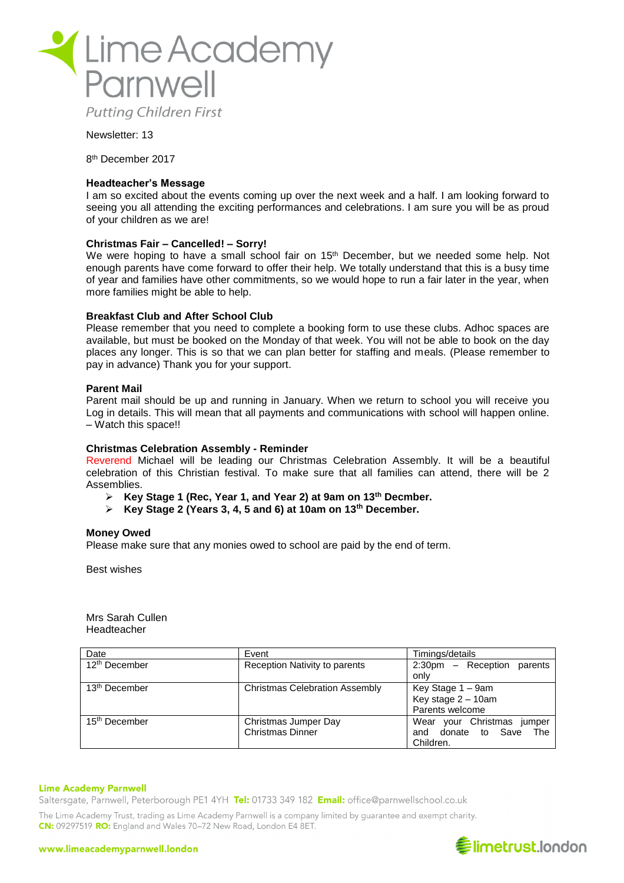

## Newsletter: 13

8 th December 2017

## **Headteacher's Message**

I am so excited about the events coming up over the next week and a half. I am looking forward to seeing you all attending the exciting performances and celebrations. I am sure you will be as proud of your children as we are!

### **Christmas Fair – Cancelled! – Sorry!**

We were hoping to have a small school fair on 15<sup>th</sup> December, but we needed some help. Not enough parents have come forward to offer their help. We totally understand that this is a busy time of year and families have other commitments, so we would hope to run a fair later in the year, when more families might be able to help.

## **Breakfast Club and After School Club**

Please remember that you need to complete a booking form to use these clubs. Adhoc spaces are available, but must be booked on the Monday of that week. You will not be able to book on the day places any longer. This is so that we can plan better for staffing and meals. (Please remember to pay in advance) Thank you for your support.

### **Parent Mail**

Parent mail should be up and running in January. When we return to school you will receive you Log in details. This will mean that all payments and communications with school will happen online. – Watch this space!!

#### **Christmas Celebration Assembly - Reminder**

Reverend Michael will be leading our Christmas Celebration Assembly. It will be a beautiful celebration of this Christian festival. To make sure that all families can attend, there will be 2 Assemblies.

- ➢ **Key Stage 1 (Rec, Year 1, and Year 2) at 9am on 13th Decmber.**
- ➢ **Key Stage 2 (Years 3, 4, 5 and 6) at 10am on 13th December.**

#### **Money Owed**

Please make sure that any monies owed to school are paid by the end of term.

Best wishes

Mrs Sarah Cullen Headteacher

| Date                      | Event                                 | Timings/details                      |
|---------------------------|---------------------------------------|--------------------------------------|
| 12 <sup>th</sup> December | Reception Nativity to parents         | $2:30 \text{pm}$ - Reception parents |
|                           |                                       | only                                 |
| 13 <sup>th</sup> December | <b>Christmas Celebration Assembly</b> | Key Stage 1 – 9am                    |
|                           |                                       | Key stage 2 - 10am                   |
|                           |                                       | Parents welcome                      |
| 15 <sup>th</sup> December | Christmas Jumper Day                  | Wear your Christmas jumper           |
|                           | <b>Christmas Dinner</b>               | and donate to Save<br><b>The</b>     |
|                           |                                       | Children.                            |

#### **Lime Academy Parnwell**

Saltersgate, Parnwell, Peterborough PE1 4YH Tel: 01733 349 182 Email: office@parnwellschool.co.uk

The Lime Academy Trust, trading as Lime Academy Parnwell is a company limited by guarantee and exempt charity. CN: 09297519 RO: England and Wales 70-72 New Road, London E4 8ET.

#### www.limeacademyparnwell.london

# **€limetrust.london**